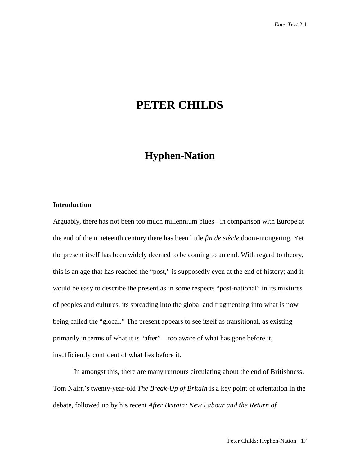# **PETER CHILDS**

## **Hyphen-Nation**

### **Introduction**

Arguably, there has not been too much millennium blues—in comparison with Europe at the end of the nineteenth century there has been little *fin de siècle* doom-mongering. Yet the present itself has been widely deemed to be coming to an end. With regard to theory, this is an age that has reached the "post," is supposedly even at the end of history; and it would be easy to describe the present as in some respects "post-national" in its mixtures of peoples and cultures, its spreading into the global and fragmenting into what is now being called the "glocal." The present appears to see itself as transitional, as existing primarily in terms of what it is "after" —too aware of what has gone before it, insufficiently confident of what lies before it.

In amongst this, there are many rumours circulating about the end of Britishness. Tom Nairn's twenty-year-old *The Break-Up of Britain* is a key point of orientation in the debate, followed up by his recent *After Britain: New Labour and the Return of*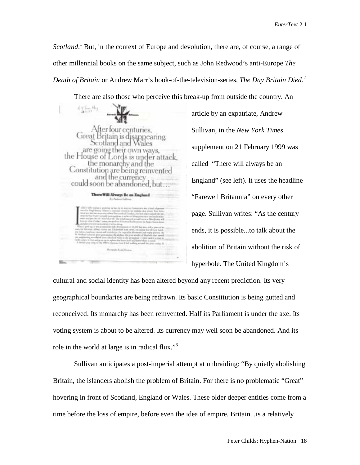Scotland.<sup>1</sup> But, in the context of Europe and devolution, there are, of course, a range of other millennial books on the same subject, such as John Redwood's anti-Europe *The Death of Britain* or Andrew Marr's book-of-the-television-series, *The Day Britain Died*. 2

There are also those who perceive this break-up from outside the country. An

ter four centuries. tain is disapr earing. are go the House s is under attack. monare w and Constitut on are being reinvented the could soon be abandoned There Will Always Be an England

article by an expatriate, Andrew Sullivan, in the *New York Times* supplement on 21 February 1999 was called "There will always be an England" (see left). It uses the headline "Farewell Britannia" on every other page. Sullivan writes: "As the century ends, it is possible...to talk about the abolition of Britain without the risk of hyperbole. The United Kingdom's

cultural and social identity has been altered beyond any recent prediction. Its very geographical boundaries are being redrawn. Its basic Constitution is being gutted and reconceived. Its monarchy has been reinvented. Half its Parliament is under the axe. Its voting system is about to be altered. Its currency may well soon be abandoned. And its role in the world at large is in radical flux."<sup>3</sup>

Sullivan anticipates a post-imperial attempt at unbraiding: "By quietly abolishing Britain, the islanders abolish the problem of Britain. For there is no problematic "Great" hovering in front of Scotland, England or Wales. These older deeper entities come from a time before the loss of empire, before even the idea of empire. Britain...is a relatively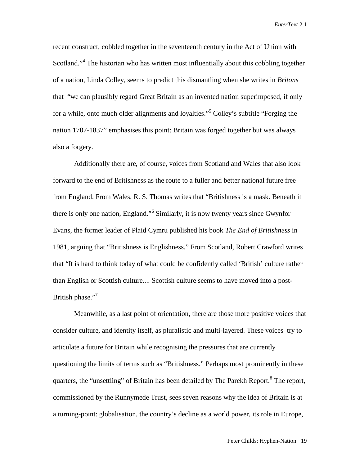recent construct, cobbled together in the seventeenth century in the Act of Union with Scotland."<sup>4</sup> The historian who has written most influentially about this cobbling together of a nation, Linda Colley, seems to predict this dismantling when she writes in *Britons* that "we can plausibly regard Great Britain as an invented nation superimposed, if only for a while, onto much older alignments and loyalties."<sup>5</sup> Colley's subtitle "Forging the nation 1707-1837" emphasises this point: Britain was forged together but was always also a forgery.

Additionally there are, of course, voices from Scotland and Wales that also look forward to the end of Britishness as the route to a fuller and better national future free from England. From Wales, R. S. Thomas writes that "Britishness is a mask. Beneath it there is only one nation, England."<sup>6</sup> Similarly, it is now twenty years since Gwynfor Evans, the former leader of Plaid Cymru published his book *The End of Britishness* in 1981, arguing that "Britishness is Englishness." From Scotland, Robert Crawford writes that "It is hard to think today of what could be confidently called 'British' culture rather than English or Scottish culture.... Scottish culture seems to have moved into a post-British phase."<sup>7</sup>

Meanwhile, as a last point of orientation, there are those more positive voices that consider culture, and identity itself, as pluralistic and multi-layered. These voices try to articulate a future for Britain while recognising the pressures that are currently questioning the limits of terms such as "Britishness." Perhaps most prominently in these quarters, the "unsettling" of Britain has been detailed by The Parekh Report.<sup>8</sup> The report, commissioned by the Runnymede Trust, sees seven reasons why the idea of Britain is at a turning-point: globalisation, the country's decline as a world power, its role in Europe,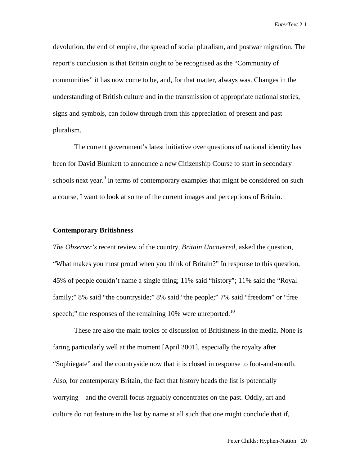devolution, the end of empire, the spread of social pluralism, and postwar migration. The report's conclusion is that Britain ought to be recognised as the "Community of communities" it has now come to be, and, for that matter, always was. Changes in the understanding of British culture and in the transmission of appropriate national stories, signs and symbols, can follow through from this appreciation of present and past pluralism.

The current government's latest initiative over questions of national identity has been for David Blunkett to announce a new Citizenship Course to start in secondary schools next year.<sup>9</sup> In terms of contemporary examples that might be considered on such a course, I want to look at some of the current images and perceptions of Britain.

#### **Contemporary Britishness**

*The Observer's* recent review of the country, *Britain Uncovered,* asked the question, "What makes you most proud when you think of Britain?" In response to this question, 45% of people couldn't name a single thing; 11% said "history"; 11% said the "Royal family;" 8% said "the countryside;" 8% said "the people;" 7% said "freedom" or "free speech;" the responses of the remaining 10% were unreported.<sup>10</sup>

These are also the main topics of discussion of Britishness in the media. None is faring particularly well at the moment [April 2001], especially the royalty after "Sophiegate" and the countryside now that it is closed in response to foot-and-mouth. Also, for contemporary Britain, the fact that history heads the list is potentially worrying—and the overall focus arguably concentrates on the past. Oddly, art and culture do not feature in the list by name at all such that one might conclude that if,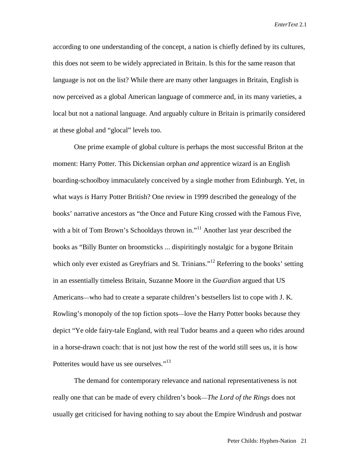according to one understanding of the concept, a nation is chiefly defined by its cultures, this does not seem to be widely appreciated in Britain. Is this for the same reason that language is not on the list? While there are many other languages in Britain, English is now perceived as a global American language of commerce and, in its many varieties, a local but not a national language. And arguably culture in Britain is primarily considered at these global and "glocal" levels too.

One prime example of global culture is perhaps the most successful Briton at the moment: Harry Potter. This Dickensian orphan *and* apprentice wizard is an English boarding-schoolboy immaculately conceived by a single mother from Edinburgh. Yet, in what ways *is* Harry Potter British? One review in 1999 described the genealogy of the books' narrative ancestors as "the Once and Future King crossed with the Famous Five, with a bit of Tom Brown's Schooldays thrown in."<sup>11</sup> Another last year described the books as "Billy Bunter on broomsticks ... dispiritingly nostalgic for a bygone Britain which only ever existed as Greyfriars and St. Trinians."<sup>12</sup> Referring to the books' setting in an essentially timeless Britain, Suzanne Moore in the *Guardian* argued that US Americans—who had to create a separate children's bestsellers list to cope with J. K. Rowling's monopoly of the top fiction spots—love the Harry Potter books because they depict "Ye olde fairy-tale England, with real Tudor beams and a queen who rides around in a horse-drawn coach: that is not just how the rest of the world still sees us, it is how Potterites would have us see ourselves."<sup>13</sup>

The demand for contemporary relevance and national representativeness is not really one that can be made of every children's book—*The Lord of the Rings* does not usually get criticised for having nothing to say about the Empire Windrush and postwar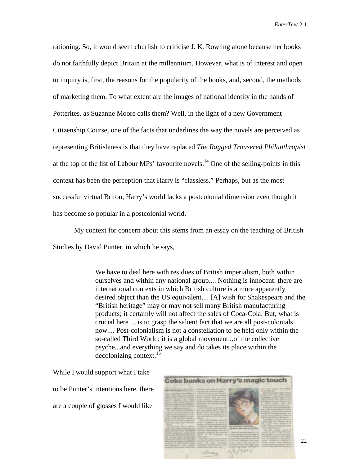rationing. So, it would seem churlish to criticise J. K. Rowling alone because her books do not faithfully depict Britain at the millennium. However, what is of interest and open to inquiry is, first, the reasons for the popularity of the books, and, second, the methods of marketing them. To what extent are the images of national identity in the hands of Potterites, as Suzanne Moore calls them? Well, in the light of a new Government Citizenship Course, one of the facts that underlines the way the novels are perceived as representing Britishness is that they have replaced *The Ragged Trousered Philanthropist* at the top of the list of Labour MPs' favourite novels.<sup>14</sup> One of the selling-points in this context has been the perception that Harry is "classless." Perhaps, but as the most successful virtual Briton, Harry's world lacks a postcolonial dimension even though it has become so popular in a postcolonial world.

My context for concern about this stems from an essay on the teaching of British Studies by David Punter, in which he says,

> We have to deal here with residues of British imperialism, both within ourselves and within any national group.... Nothing is innocent: there are international contexts in which British culture is a more apparently desired object than the US equivalent.... [A] wish for Shakespeare and the "British heritage" may or may not sell many British manufacturing products; it certainly will not affect the sales of Coca-Cola. But, what is crucial here ... is to grasp the salient fact that we are all post-colonials now.... Post-colonialism is not a constellation to be held only within the so-called Third World; it is a global movement...of the collective psyche...and everything we say and do takes its place within the  $decolonizing context.<sup>15</sup>$

While I would support what I take to be Punter's intentions here, there are a couple of glosses I would like

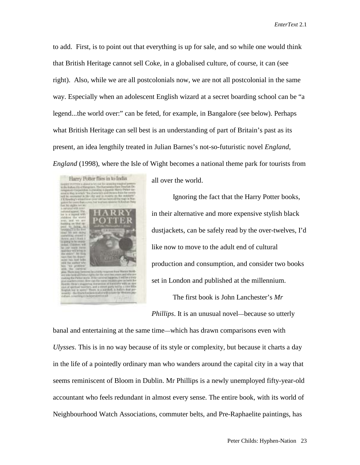to add. First, is to point out that everything is up for sale, and so while one would think that British Heritage cannot sell Coke, in a globalised culture, of course, it can (see right). Also, while we are all postcolonials now, we are not all postcolonial in the same way. Especially when an adolescent English wizard at a secret boarding school can be "a legend...the world over:" can be feted, for example, in Bangalore (see below). Perhaps what British Heritage can sell best is an understanding of part of Britain's past as its present, an idea lengthily treated in Julian Barnes's not-so-futuristic novel *England*, *England* (1998), where the Isle of Wight becomes a national theme park for tourists from



all over the world.

Ignoring the fact that the Harry Potter books, in their alternative and more expensive stylish black dustjackets, can be safely read by the over-twelves, I'd like now to move to the adult end of cultural production and consumption, and consider two books set in London and published at the millennium.

The first book is John Lanchester's *Mr Phillips*. It is an unusual novel—because so utterly

banal and entertaining at the same time—which has drawn comparisons even with *Ulysses*. This is in no way because of its style or complexity, but because it charts a day in the life of a pointedly ordinary man who wanders around the capital city in a way that seems reminiscent of Bloom in Dublin. Mr Phillips is a newly unemployed fifty-year-old accountant who feels redundant in almost every sense. The entire book, with its world of Neighbourhood Watch Associations, commuter belts, and Pre-Raphaelite paintings, has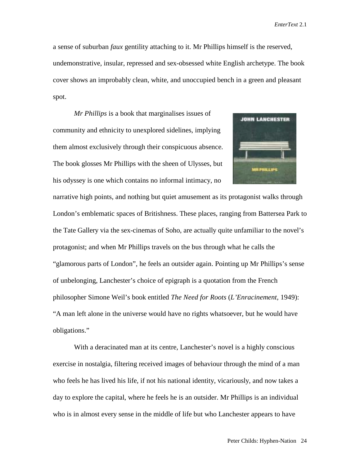a sense of suburban *faux* gentility attaching to it. Mr Phillips himself is the reserved, undemonstrative, insular, repressed and sex-obsessed white English archetype. The book cover shows an improbably clean, white, and unoccupied bench in a green and pleasant spot.

*Mr Phillips* is a book that marginalises issues of community and ethnicity to unexplored sidelines, implying them almost exclusively through their conspicuous absence. The book glosses Mr Phillips with the sheen of Ulysses, but his odyssey is one which contains no informal intimacy, no



narrative high points, and nothing but quiet amusement as its protagonist walks through London's emblematic spaces of Britishness. These places, ranging from Battersea Park to the Tate Gallery via the sex-cinemas of Soho, are actually quite unfamiliar to the novel's protagonist; and when Mr Phillips travels on the bus through what he calls the "glamorous parts of London", he feels an outsider again. Pointing up Mr Phillips's sense of unbelonging, Lanchester's choice of epigraph is a quotation from the French philosopher Simone Weil's book entitled *The Need for Roots* (*L'Enracinement,* 1949): "A man left alone in the universe would have no rights whatsoever, but he would have obligations."

With a deracinated man at its centre, Lanchester's novel is a highly conscious exercise in nostalgia, filtering received images of behaviour through the mind of a man who feels he has lived his life, if not his national identity, vicariously, and now takes a day to explore the capital, where he feels he is an outsider. Mr Phillips is an individual who is in almost every sense in the middle of life but who Lanchester appears to have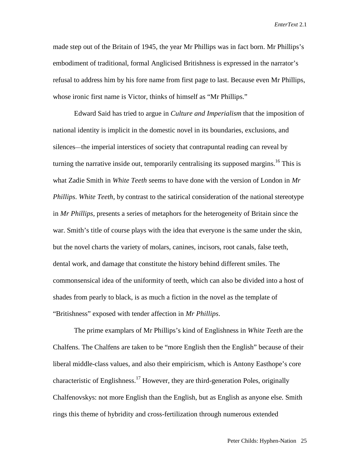made step out of the Britain of 1945, the year Mr Phillips was in fact born. Mr Phillips's embodiment of traditional, formal Anglicised Britishness is expressed in the narrator's refusal to address him by his fore name from first page to last. Because even Mr Phillips, whose ironic first name is Victor, thinks of himself as "Mr Phillips."

Edward Said has tried to argue in *Culture and Imperialism* that the imposition of national identity is implicit in the domestic novel in its boundaries, exclusions, and silences—the imperial interstices of society that contrapuntal reading can reveal by turning the narrative inside out, temporarily centralising its supposed margins.<sup>16</sup> This is what Zadie Smith in *White Teeth* seems to have done with the version of London in *Mr Phillips*. *White Teeth*, by contrast to the satirical consideration of the national stereotype in *Mr Phillips*, presents a series of metaphors for the heterogeneity of Britain since the war. Smith's title of course plays with the idea that everyone is the same under the skin, but the novel charts the variety of molars, canines, incisors, root canals, false teeth, dental work, and damage that constitute the history behind different smiles. The commonsensical idea of the uniformity of teeth, which can also be divided into a host of shades from pearly to black, is as much a fiction in the novel as the template of "Britishness" exposed with tender affection in *Mr Phillips*.

The prime examplars of Mr Phillips's kind of Englishness in *White Teeth* are the Chalfens. The Chalfens are taken to be "more English then the English" because of their liberal middle-class values, and also their empiricism, which is Antony Easthope's core characteristic of Englishness.<sup>17</sup> However, they are third-generation Poles, originally Chalfenovskys: not more English than the English, but as English as anyone else. Smith rings this theme of hybridity and cross-fertilization through numerous extended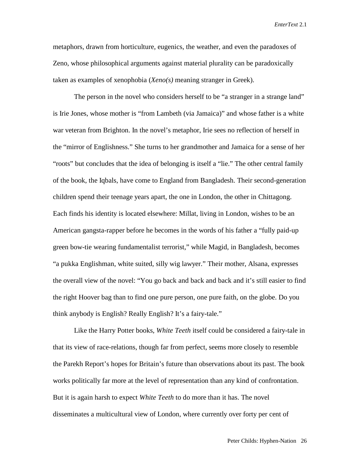metaphors, drawn from horticulture, eugenics, the weather, and even the paradoxes of Zeno, whose philosophical arguments against material plurality can be paradoxically taken as examples of xenophobia (*Xeno(s)* meaning stranger in Greek).

The person in the novel who considers herself to be "a stranger in a strange land" is Irie Jones, whose mother is "from Lambeth (via Jamaica)" and whose father is a white war veteran from Brighton. In the novel's metaphor, Irie sees no reflection of herself in the "mirror of Englishness." She turns to her grandmother and Jamaica for a sense of her "roots" but concludes that the idea of belonging is itself a "lie." The other central family of the book, the Iqbals, have come to England from Bangladesh. Their second-generation children spend their teenage years apart, the one in London, the other in Chittagong. Each finds his identity is located elsewhere: Millat, living in London, wishes to be an American gangsta-rapper before he becomes in the words of his father a "fully paid-up green bow-tie wearing fundamentalist terrorist," while Magid, in Bangladesh, becomes "a pukka Englishman, white suited, silly wig lawyer." Their mother, Alsana, expresses the overall view of the novel: "You go back and back and back and it's still easier to find the right Hoover bag than to find one pure person, one pure faith, on the globe. Do you think anybody is English? Really English? It's a fairy-tale."

Like the Harry Potter books, *White Teeth* itself could be considered a fairy-tale in that its view of race-relations, though far from perfect, seems more closely to resemble the Parekh Report's hopes for Britain's future than observations about its past. The book works politically far more at the level of representation than any kind of confrontation. But it is again harsh to expect *White Teeth* to do more than it has. The novel disseminates a multicultural view of London, where currently over forty per cent of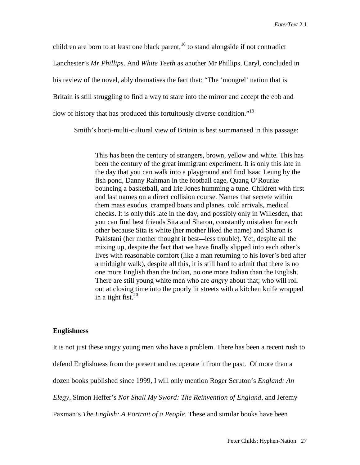children are born to at least one black parent,  $18$  to stand alongside if not contradict Lanchester's *Mr Phillips*. And *White Teeth* as another Mr Phillips, Caryl, concluded in his review of the novel, ably dramatises the fact that: "The 'mongrel' nation that is Britain is still struggling to find a way to stare into the mirror and accept the ebb and flow of history that has produced this fortuitously diverse condition."<sup>19</sup>

Smith's horti-multi-cultural view of Britain is best summarised in this passage:

This has been the century of strangers, brown, yellow and white. This has been the century of the great immigrant experiment. It is only this late in the day that you can walk into a playground and find Isaac Leung by the fish pond, Danny Rahman in the football cage, Quang O'Rourke bouncing a basketball, and Irie Jones humming a tune. Children with first and last names on a direct collision course. Names that secrete within them mass exodus, cramped boats and planes, cold arrivals, medical checks. It is only this late in the day, and possibly only in Willesden, that you can find best friends Sita and Sharon, constantly mistaken for each other because Sita is white (her mother liked the name) and Sharon is Pakistani (her mother thought it best—less trouble). Yet, despite all the mixing up, despite the fact that we have finally slipped into each other's lives with reasonable comfort (like a man returning to his lover's bed after a midnight walk), despite all this, it is still hard to admit that there is no one more English than the Indian, no one more Indian than the English. There are still young white men who are *angry* about that; who will roll out at closing time into the poorly lit streets with a kitchen knife wrapped in a tight fist.  $20$ 

#### **Englishness**

It is not just these angry young men who have a problem. There has been a recent rush to defend Englishness from the present and recuperate it from the past. Of more than a dozen books published since 1999, I will only mention Roger Scruton's *England: An Elegy*, Simon Heffer's *Nor Shall My Sword: The Reinvention of England*, and Jeremy Paxman's *The English: A Portrait of a People*. These and similar books have been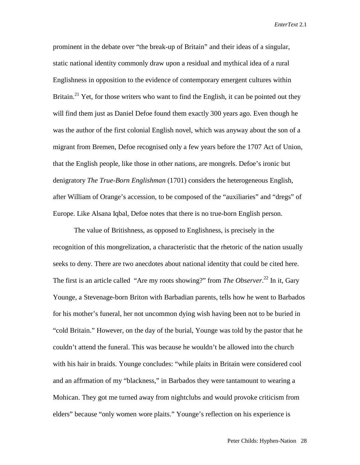prominent in the debate over "the break-up of Britain" and their ideas of a singular, static national identity commonly draw upon a residual and mythical idea of a rural Englishness in opposition to the evidence of contemporary emergent cultures within Britain.<sup>21</sup> Yet, for those writers who want to find the English, it can be pointed out they will find them just as Daniel Defoe found them exactly 300 years ago. Even though he was the author of the first colonial English novel, which was anyway about the son of a migrant from Bremen, Defoe recognised only a few years before the 1707 Act of Union, that the English people, like those in other nations, are mongrels. Defoe's ironic but denigratory *The True-Born Englishman* (1701) considers the heterogeneous English, after William of Orange's accession, to be composed of the "auxiliaries" and "dregs" of Europe. Like Alsana Iqbal, Defoe notes that there is no true-born English person.

The value of Britishness, as opposed to Englishness, is precisely in the recognition of this mongrelization, a characteristic that the rhetoric of the nation usually seeks to deny. There are two anecdotes about national identity that could be cited here. The first is an article called "Are my roots showing?" from *The Observer*. 22 In it, Gary Younge, a Stevenage-born Briton with Barbadian parents, tells how he went to Barbados for his mother's funeral, her not uncommon dying wish having been not to be buried in "cold Britain." However, on the day of the burial, Younge was told by the pastor that he couldn't attend the funeral. This was because he wouldn't be allowed into the church with his hair in braids. Younge concludes: "while plaits in Britain were considered cool and an affrmation of my "blackness," in Barbados they were tantamount to wearing a Mohican. They got me turned away from nightclubs and would provoke criticism from elders" because "only women wore plaits." Younge's reflection on his experience is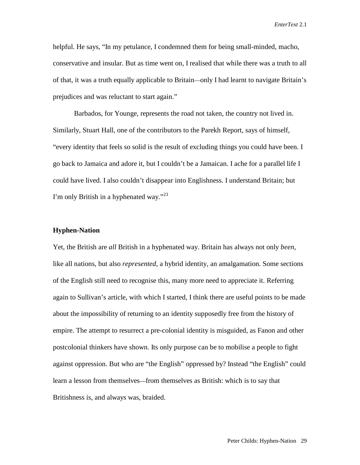helpful. He says, "In my petulance, I condemned them for being small-minded, macho, conservative and insular. But as time went on, I realised that while there was a truth to all of that, it was a truth equally applicable to Britain—only I had learnt to navigate Britain's prejudices and was reluctant to start again."

Barbados, for Younge, represents the road not taken, the country not lived in. Similarly, Stuart Hall, one of the contributors to the Parekh Report, says of himself, "every identity that feels so solid is the result of excluding things you could have been. I go back to Jamaica and adore it, but I couldn't be a Jamaican. I ache for a parallel life I could have lived. I also couldn't disappear into Englishness. I understand Britain; but I'm only British in a hyphenated way."<sup>23</sup>

#### **Hyphen-Nation**

Yet, the British are *all* British in a hyphenated way. Britain has always not only *been*, like all nations, but also *represented*, a hybrid identity, an amalgamation. Some sections of the English still need to recognise this, many more need to appreciate it. Referring again to Sullivan's article, with which I started, I think there are useful points to be made about the impossibility of returning to an identity supposedly free from the history of empire. The attempt to resurrect a pre-colonial identity is misguided, as Fanon and other postcolonial thinkers have shown. Its only purpose can be to mobilise a people to fight against oppression. But who are "the English" oppressed by? Instead "the English" could learn a lesson from themselves—from themselves as British: which is to say that Britishness is, and always was, braided.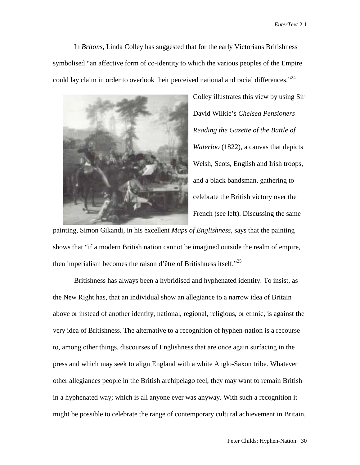In *Britons*, Linda Colley has suggested that for the early Victorians Britishness symbolised "an affective form of co-identity to which the various peoples of the Empire could lay claim in order to overlook their perceived national and racial differences."<sup>24</sup>



Colley illustrates this view by using Sir David Wilkie's *Chelsea Pensioners Reading the Gazette of the Battle of Waterloo* (1822), a canvas that depicts Welsh, Scots, English and Irish troops, and a black bandsman, gathering to celebrate the British victory over the French (see left). Discussing the same

painting, Simon Gikandi, in his excellent *Maps of Englishness*, says that the painting shows that "if a modern British nation cannot be imagined outside the realm of empire, then imperialism becomes the raison d'être of Britishness itself."<sup>25</sup>

Britishness has always been a hybridised and hyphenated identity. To insist, as the New Right has, that an individual show an allegiance to a narrow idea of Britain above or instead of another identity, national, regional, religious, or ethnic, is against the very idea of Britishness. The alternative to a recognition of hyphen-nation is a recourse to, among other things, discourses of Englishness that are once again surfacing in the press and which may seek to align England with a white Anglo-Saxon tribe. Whatever other allegiances people in the British archipelago feel, they may want to remain British in a hyphenated way; which is all anyone ever was anyway. With such a recognition it might be possible to celebrate the range of contemporary cultural achievement in Britain,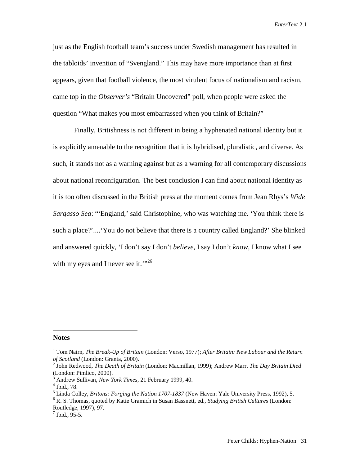just as the English football team's success under Swedish management has resulted in the tabloids' invention of "Svengland." This may have more importance than at first appears, given that football violence, the most virulent focus of nationalism and racism, came top in the *Observer's* "Britain Uncovered" poll, when people were asked the question "What makes you most embarrassed when you think of Britain?"

Finally, Britishness is not different in being a hyphenated national identity but it is explicitly amenable to the recognition that it is hybridised, pluralistic, and diverse. As such, it stands not as a warning against but as a warning for all contemporary discussions about national reconfiguration. The best conclusion I can find about national identity as it is too often discussed in the British press at the moment comes from Jean Rhys's *Wide Sargasso Sea*: "'England,' said Christophine, who was watching me. 'You think there is such a place?'....'You do not believe that there is a country called England?' She blinked and answered quickly, 'I don't say I don't *believe,* I say I don't *know*, I know what I see with my eyes and I never see it. $\cdot$ <sup>26</sup>

#### **Notes**

 $\overline{a}$ 

<sup>1</sup> Tom Nairn, *The Break-Up of Britain* (London: Verso, 1977); *After Britain: New Labour and the Return of Scotland* (London: Granta, 2000).

<sup>2</sup> John Redwood, *The Death of Britain* (London: Macmillan, 1999); Andrew Marr, *The Day Britain Died* (London: Pimlico, 2000).

<sup>3</sup> Andrew Sullivan, *New York Times*, 21 February 1999, 40.

<sup>4</sup> Ibid., 78.

<sup>5</sup> Linda Colley, *Britons: Forging the Nation 1707-1837* (New Haven: Yale University Press, 1992), 5.

<sup>6</sup> R. S. Thomas, quoted by Katie Gramich in Susan Bassnett, ed., *Studying British Cultures* (London: Routledge, 1997), 97.

 $7$  Ibid., 95-5.